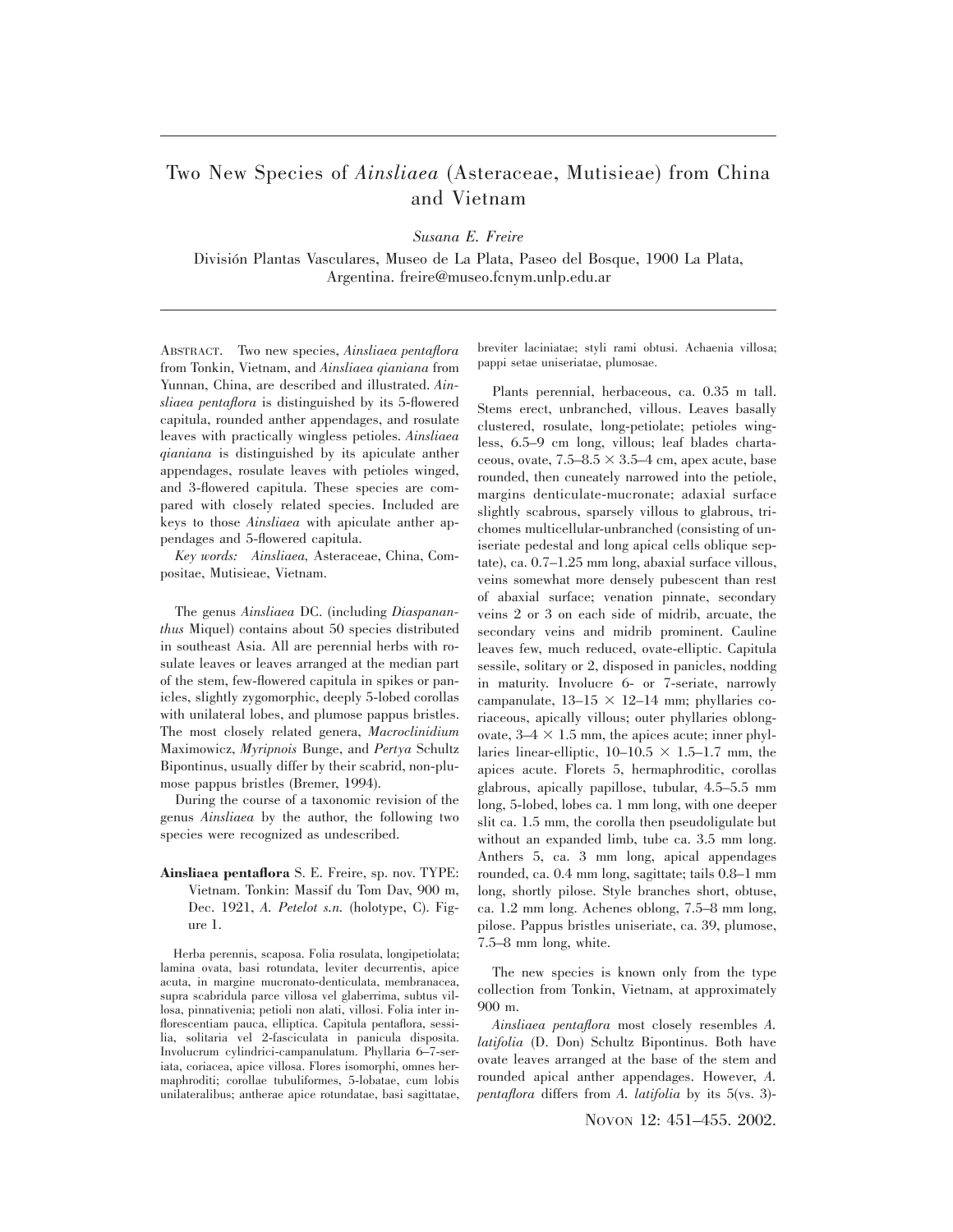## Two New Species of *Ainsliaea* (Asteraceae, Mutisieae) from China and Vietnam

*Susana E. Freire*

Divisio´n Plantas Vasculares, Museo de La Plata, Paseo del Bosque, 1900 La Plata, Argentina. freire@museo.fcnym.unlp.edu.ar

ABSTRACT. Two new species, *Ainsliaea pentaflora* from Tonkin, Vietnam, and *Ainsliaea qianiana* from Yunnan, China, are described and illustrated. *Ainsliaea pentaflora* is distinguished by its 5-flowered capitula, rounded anther appendages, and rosulate leaves with practically wingless petioles. *Ainsliaea qianiana* is distinguished by its apiculate anther appendages, rosulate leaves with petioles winged, and 3-flowered capitula. These species are compared with closely related species. Included are keys to those *Ainsliaea* with apiculate anther appendages and 5-flowered capitula.

*Key words: Ainsliaea,* Asteraceae, China, Compositae, Mutisieae, Vietnam.

The genus *Ainsliaea* DC. (including *Diaspananthus* Miquel) contains about 50 species distributed in southeast Asia. All are perennial herbs with rosulate leaves or leaves arranged at the median part of the stem, few-flowered capitula in spikes or panicles, slightly zygomorphic, deeply 5-lobed corollas with unilateral lobes, and plumose pappus bristles. The most closely related genera, *Macroclinidium* Maximowicz, *Myripnois* Bunge, and *Pertya* Schultz Bipontinus, usually differ by their scabrid, non-plumose pappus bristles (Bremer, 1994).

During the course of a taxonomic revision of the genus *Ainsliaea* by the author, the following two species were recognized as undescribed.

**Ainsliaea pentaflora** S. E. Freire, sp. nov. TYPE: Vietnam. Tonkin: Massif du Tom Dav, 900 m, Dec. 1921, *A. Petelot s.n.* (holotype, C). Figure 1.

Herba perennis, scaposa. Folia rosulata, longipetiolata; lamina ovata, basi rotundata, leviter decurrentis, apice acuta, in margine mucronato-denticulata, membranacea, supra scabridula parce villosa vel glaberrima, subtus villosa, pinnativenia; petioli non alati, villosi. Folia inter inflorescentiam pauca, elliptica. Capitula pentaflora, sessilia, solitaria vel 2-fasciculata in panicula disposita. Involucrum cylindrici-campanulatum. Phyllaria 6–7-seriata, coriacea, apice villosa. Flores isomorphi, omnes hermaphroditi; corollae tubuliformes, 5-lobatae, cum lobis unilateralibus; antherae apice rotundatae, basi sagittatae,

breviter laciniatae; styli rami obtusi. Achaenia villosa; pappi setae uniseriatae, plumosae.

Plants perennial, herbaceous, ca. 0.35 m tall. Stems erect, unbranched, villous. Leaves basally clustered, rosulate, long-petiolate; petioles wingless, 6.5–9 cm long, villous; leaf blades chartaceous, ovate,  $7.5-8.5 \times 3.5-4$  cm, apex acute, base rounded, then cuneately narrowed into the petiole, margins denticulate-mucronate; adaxial surface slightly scabrous, sparsely villous to glabrous, trichomes multicellular-unbranched (consisting of uniseriate pedestal and long apical cells oblique septate), ca. 0.7–1.25 mm long, abaxial surface villous, veins somewhat more densely pubescent than rest of abaxial surface; venation pinnate, secondary veins 2 or 3 on each side of midrib, arcuate, the secondary veins and midrib prominent. Cauline leaves few, much reduced, ovate-elliptic. Capitula sessile, solitary or 2, disposed in panicles, nodding in maturity. Involucre 6- or 7-seriate, narrowly campanulate,  $13-15 \times 12-14$  mm; phyllaries coriaceous, apically villous; outer phyllaries oblongovate,  $3-4 \times 1.5$  mm, the apices acute; inner phyllaries linear-elliptic,  $10-10.5 \times 1.5-1.7$  mm, the apices acute. Florets 5, hermaphroditic, corollas glabrous, apically papillose, tubular, 4.5–5.5 mm long, 5-lobed, lobes ca. 1 mm long, with one deeper slit ca. 1.5 mm, the corolla then pseudoligulate but without an expanded limb, tube ca. 3.5 mm long. Anthers 5, ca. 3 mm long, apical appendages rounded, ca. 0.4 mm long, sagittate; tails 0.8–1 mm long, shortly pilose. Style branches short, obtuse, ca. 1.2 mm long. Achenes oblong, 7.5–8 mm long, pilose. Pappus bristles uniseriate, ca. 39, plumose, 7.5–8 mm long, white.

The new species is known only from the type collection from Tonkin, Vietnam, at approximately 900 m.

*Ainsliaea pentaflora* most closely resembles *A. latifolia* (D. Don) Schultz Bipontinus. Both have ovate leaves arranged at the base of the stem and rounded apical anther appendages. However, *A. pentaflora* differs from *A. latifolia* by its 5(vs. 3)-

NOVON 12: 451–455. 2002.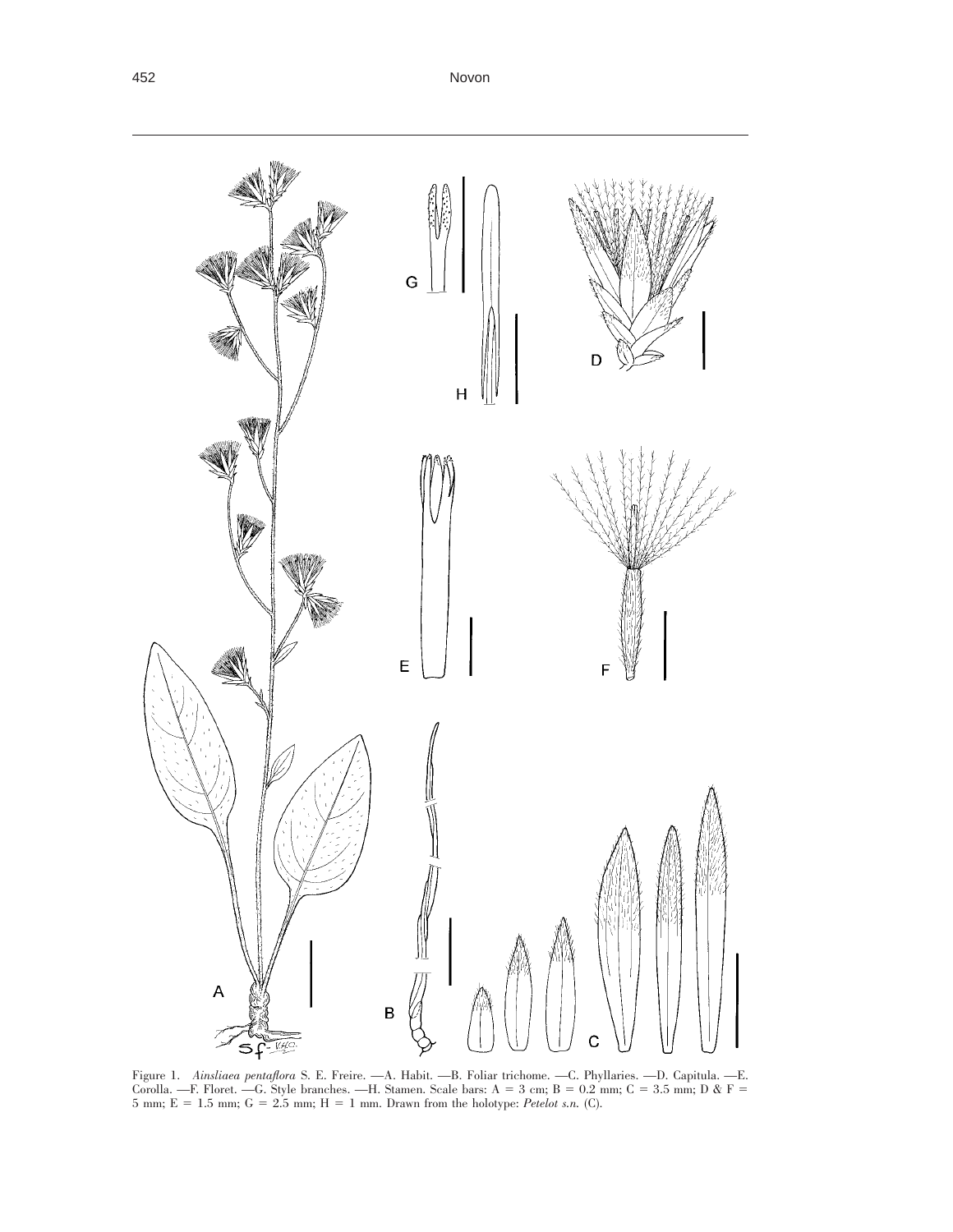

Figure 1. *Ainsliaea pentaflora* S. E. Freire. —A. Habit. —B. Foliar trichome. —C. Phyllaries. —D. Capitula. —E. Corolla. —F. Floret. —G. Style branches. —H. Stamen. Scale bars:  $A = 3$  cm;  $B = 0.2$  mm;  $C = 3.5$  mm; D & F = 5 mm;  $E = 1.5$  mm;  $G = 2.5$  mm;  $H = 1$  mm. Drawn from the holotype: *Petelot s.n.* (C).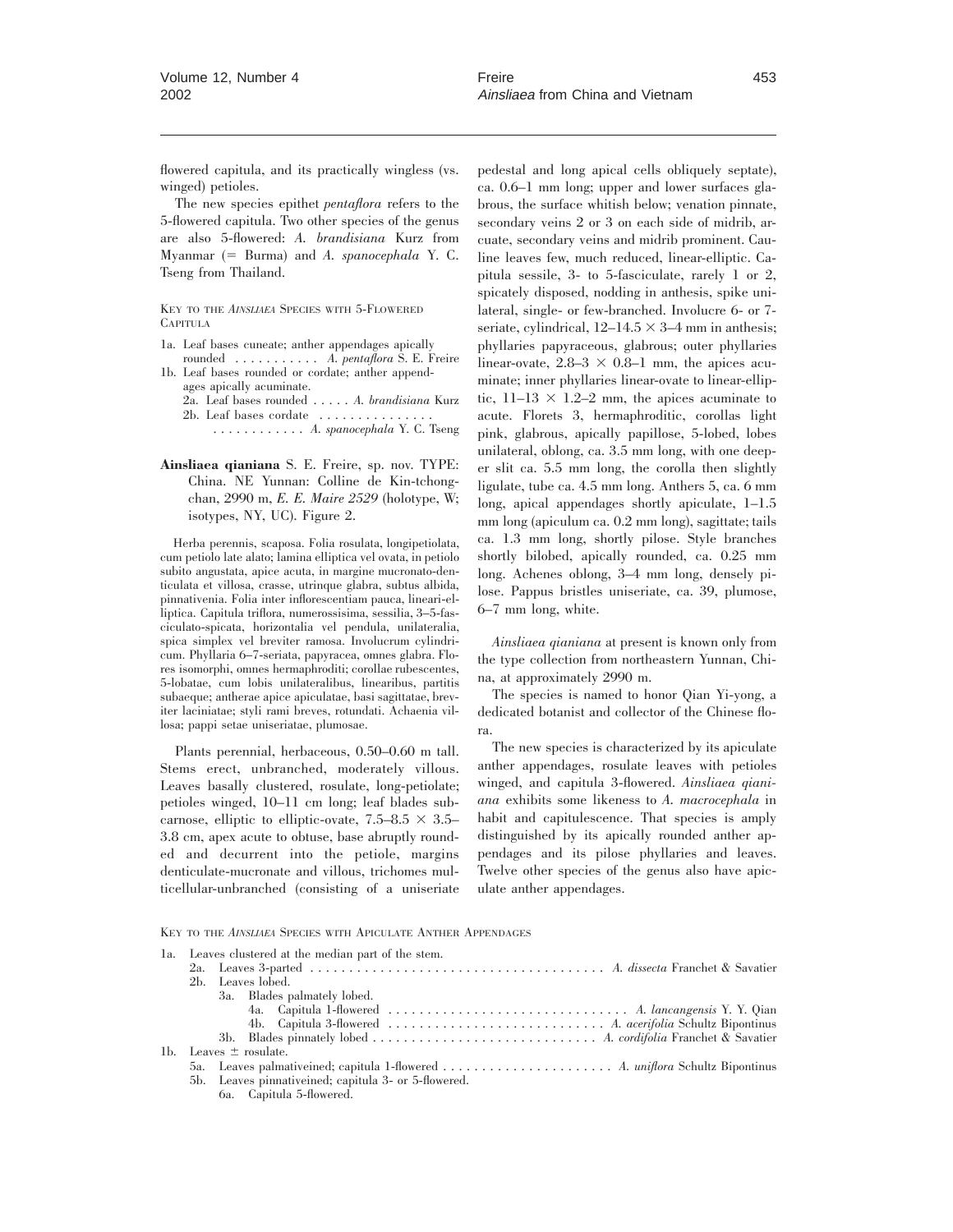flowered capitula, and its practically wingless (vs. winged) petioles.

The new species epithet *pentaflora* refers to the 5-flowered capitula. Two other species of the genus are also 5-flowered: *A. brandisiana* Kurz from Myanmar (5 Burma) and *A. spanocephala* Y. C. Tseng from Thailand.

KEY TO THE *AINSLIAEA* SPECIES WITH 5-FLOWERED CAPITULA

1a. Leaf bases cuneate; anther appendages apically

rounded ........... *A. pentaflora* S. E. Freire 1b. Leaf bases rounded or cordate; anther appendages apically acuminate.

2a. Leaf bases rounded ..... *A. brandisiana* Kurz 2b. Leaf bases cordate ............... ............ *A. spanocephala* Y. C. Tseng

**Ainsliaea qianiana** S. E. Freire, sp. nov. TYPE: China. NE Yunnan: Colline de Kin-tchongchan, 2990 m, *E. E. Maire 2529* (holotype, W; isotypes, NY, UC). Figure 2.

Herba perennis, scaposa. Folia rosulata, longipetiolata, cum petiolo late alato; lamina elliptica vel ovata, in petiolo subito angustata, apice acuta, in margine mucronato-denticulata et villosa, crasse, utrinque glabra, subtus albida, pinnativenia. Folia inter inflorescentiam pauca, lineari-elliptica. Capitula triflora, numerossisima, sessilia, 3–5-fasciculato-spicata, horizontalia vel pendula, unilateralia, spica simplex vel breviter ramosa. Involucrum cylindricum. Phyllaria 6–7-seriata, papyracea, omnes glabra. Flores isomorphi, omnes hermaphroditi; corollae rubescentes, 5-lobatae, cum lobis unilateralibus, linearibus, partitis subaeque; antherae apice apiculatae, basi sagittatae, breviter laciniatae; styli rami breves, rotundati. Achaenia villosa; pappi setae uniseriatae, plumosae.

Plants perennial, herbaceous, 0.50–0.60 m tall. Stems erect, unbranched, moderately villous. Leaves basally clustered, rosulate, long-petiolate; petioles winged, 10–11 cm long; leaf blades subcarnose, elliptic to elliptic-ovate,  $7.5-8.5 \times 3.5-$ 3.8 cm, apex acute to obtuse, base abruptly rounded and decurrent into the petiole, margins denticulate-mucronate and villous, trichomes multicellular-unbranched (consisting of a uniseriate pedestal and long apical cells obliquely septate), ca. 0.6–1 mm long; upper and lower surfaces glabrous, the surface whitish below; venation pinnate, secondary veins 2 or 3 on each side of midrib, arcuate, secondary veins and midrib prominent. Cauline leaves few, much reduced, linear-elliptic. Capitula sessile, 3- to 5-fasciculate, rarely 1 or 2, spicately disposed, nodding in anthesis, spike unilateral, single- or few-branched. Involucre 6- or 7 seriate, cylindrical,  $12-14.5 \times 3-4$  mm in anthesis; phyllaries papyraceous, glabrous; outer phyllaries linear-ovate,  $2.8-3 \times 0.8-1$  mm, the apices acuminate; inner phyllaries linear-ovate to linear-elliptic,  $11-13 \times 1.2-2$  mm, the apices acuminate to acute. Florets 3, hermaphroditic, corollas light pink, glabrous, apically papillose, 5-lobed, lobes unilateral, oblong, ca. 3.5 mm long, with one deeper slit ca. 5.5 mm long, the corolla then slightly ligulate, tube ca. 4.5 mm long. Anthers 5, ca. 6 mm long, apical appendages shortly apiculate, 1–1.5 mm long (apiculum ca. 0.2 mm long), sagittate; tails ca. 1.3 mm long, shortly pilose. Style branches shortly bilobed, apically rounded, ca. 0.25 mm long. Achenes oblong, 3–4 mm long, densely pilose. Pappus bristles uniseriate, ca. 39, plumose, 6–7 mm long, white.

*Ainsliaea qianiana* at present is known only from the type collection from northeastern Yunnan, China, at approximately 2990 m.

The species is named to honor Qian Yi-yong, a dedicated botanist and collector of the Chinese flora.

The new species is characterized by its apiculate anther appendages, rosulate leaves with petioles winged, and capitula 3-flowered. *Ainsliaea qianiana* exhibits some likeness to *A. macrocephala* in habit and capitulescence. That species is amply distinguished by its apically rounded anther appendages and its pilose phyllaries and leaves. Twelve other species of the genus also have apiculate anther appendages.

KEY TO THE *AINSLIAEA* SPECIES WITH APICULATE ANTHER APPENDAGES

| la. Leaves clustered at the median part of the stem. |                                                       |  |  |
|------------------------------------------------------|-------------------------------------------------------|--|--|
|                                                      |                                                       |  |  |
| 2b. Leaves lobed.                                    |                                                       |  |  |
|                                                      | 3a. Blades palmately lobed.                           |  |  |
|                                                      |                                                       |  |  |
|                                                      |                                                       |  |  |
|                                                      |                                                       |  |  |
| 1b. Leaves $\pm$ rosulate.                           |                                                       |  |  |
|                                                      |                                                       |  |  |
|                                                      | 5b. Leaves pinnative ined; capitula 3- or 5-flowered. |  |  |
|                                                      | 6a. Capitula 5-flowered.                              |  |  |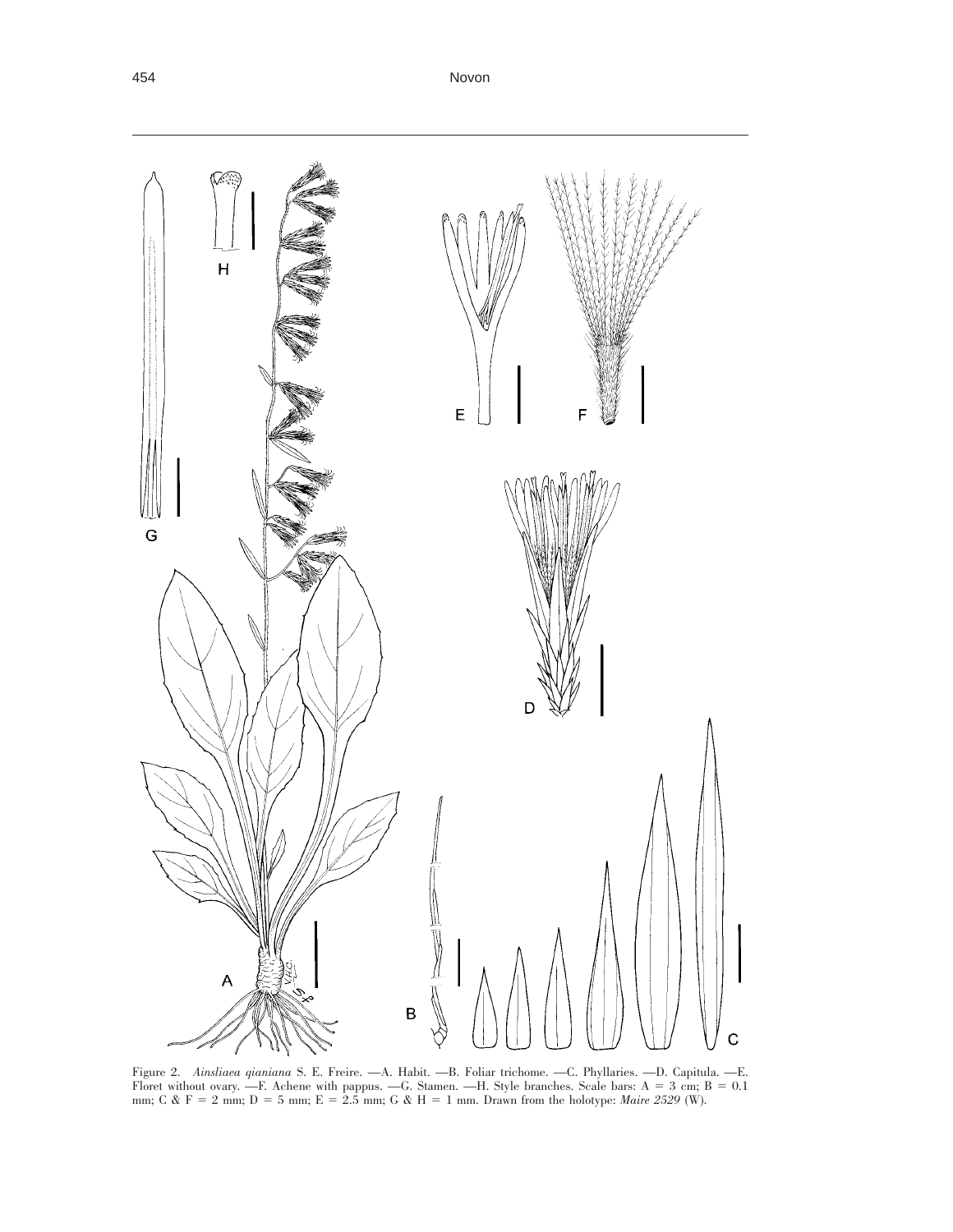

Figure 2. *Ainsliaea qianiana* S. E. Freire. —A. Habit. —B. Foliar trichome. —C. Phyllaries. —D. Capitula. —E. Floret without ovary. —F. Achene with pappus. —G. Stamen. —H. Style branches. Scale bars:  $A = 3$  cm;  $B = 0.1$ mm; C & F = 2 mm; D = 5 mm; E = 2.5 mm; G & H = 1 mm. Drawn from the holotype: *Maire 2529* (W).